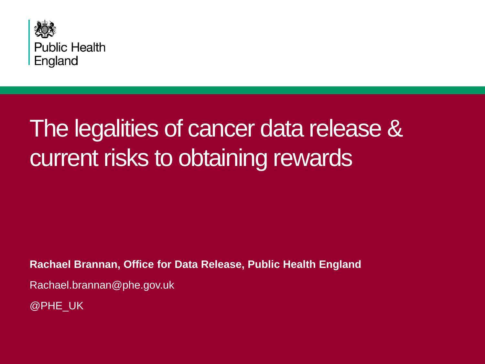

### The legalities of cancer data release & current risks to obtaining rewards

**Rachael Brannan, Office for Data Release, Public Health England**

Rachael.brannan@phe.gov.uk

@PHE\_UK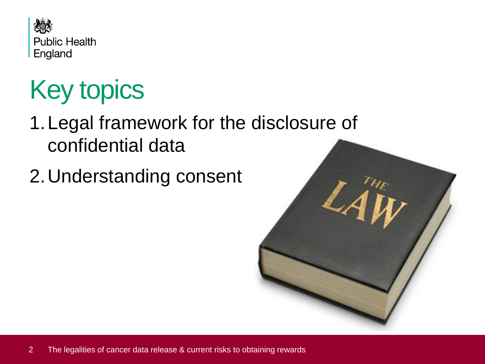

# Key topics

- 1.Legal framework for the disclosure of confidential data
- 2.Understanding consent

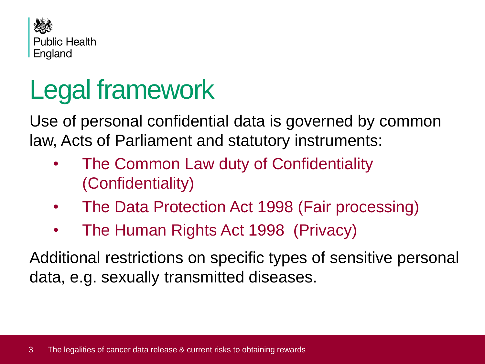

# Legal framework

Use of personal confidential data is governed by common law, Acts of Parliament and statutory instruments:

- The Common Law duty of Confidentiality (Confidentiality)
- The Data Protection Act 1998 (Fair processing)
- The Human Rights Act 1998 (Privacy)

Additional restrictions on specific types of sensitive personal data, e.g. sexually transmitted diseases.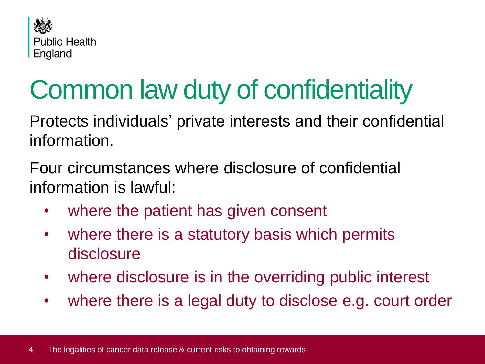

# Common law duty of confidentiality

Protects individuals' private interests and their confidential information.

Four circumstances where disclosure of confidential information is lawful:

- where the patient has given consent
- where there is a statutory basis which permits disclosure
- where disclosure is in the overriding public interest
- where there is a legal duty to disclose e.g. court order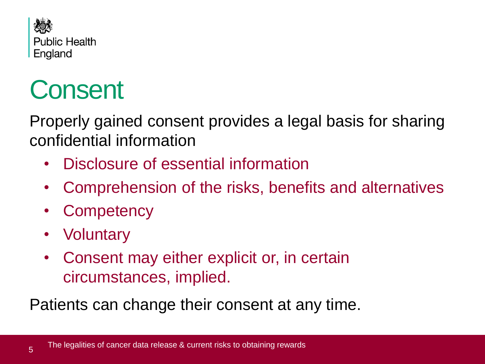

# **Consent**

Properly gained consent provides a legal basis for sharing confidential information

- Disclosure of essential information
- Comprehension of the risks, benefits and alternatives
- **Competency**
- **Voluntary**

5

• Consent may either explicit or, in certain circumstances, implied.

Patients can change their consent at any time.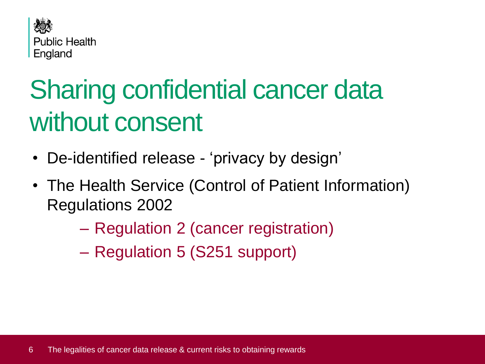

# Sharing confidential cancer data without consent

- De-identified release 'privacy by design'
- The Health Service (Control of Patient Information) Regulations 2002
	- Regulation 2 (cancer registration)
	- Regulation 5 (S251 support)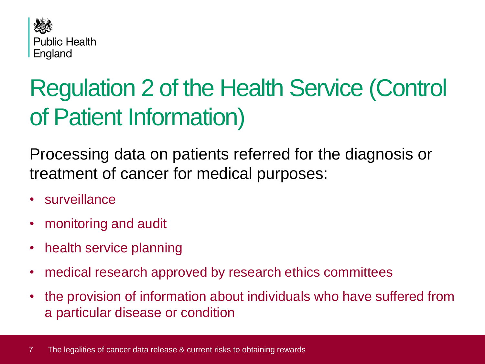

### Regulation 2 of the Health Service (Control of Patient Information)

Processing data on patients referred for the diagnosis or treatment of cancer for medical purposes:

- surveillance
- monitoring and audit
- health service planning
- medical research approved by research ethics committees
- the provision of information about individuals who have suffered from a particular disease or condition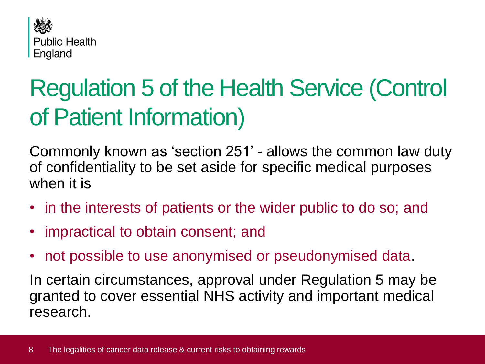

### Regulation 5 of the Health Service (Control of Patient Information)

Commonly known as 'section 251' - allows the common law duty of confidentiality to be set aside for specific medical purposes when it is

- in the interests of patients or the wider public to do so; and
- impractical to obtain consent; and
- not possible to use anonymised or pseudonymised data.

In certain circumstances, approval under Regulation 5 may be granted to cover essential NHS activity and important medical research.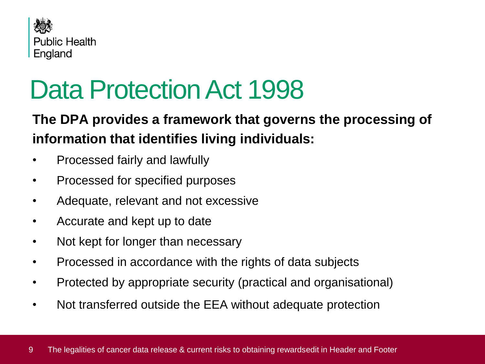

## Data Protection Act 1998

#### **The DPA provides a framework that governs the processing of information that identifies living individuals:**

- Processed fairly and lawfully
- Processed for specified purposes
- Adequate, relevant and not excessive
- Accurate and kept up to date
- Not kept for longer than necessary
- Processed in accordance with the rights of data subjects
- Protected by appropriate security (practical and organisational)
- Not transferred outside the EEA without adequate protection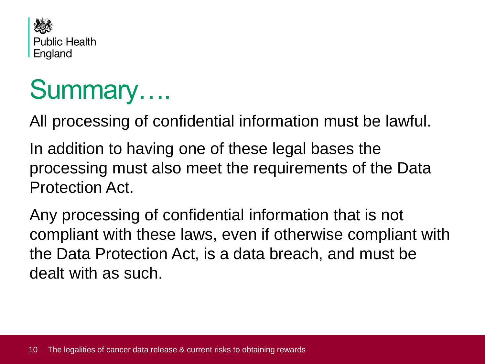

### Summary….

All processing of confidential information must be lawful.

In addition to having one of these legal bases the processing must also meet the requirements of the Data Protection Act.

Any processing of confidential information that is not compliant with these laws, even if otherwise compliant with the Data Protection Act, is a data breach, and must be dealt with as such.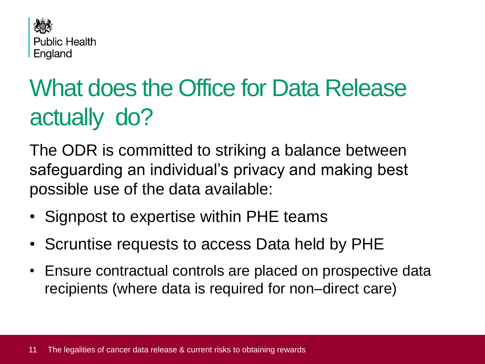

## What does the Office for Data Release actually do?

The ODR is committed to striking a balance between safeguarding an individual's privacy and making best possible use of the data available:

- Signpost to expertise within PHE teams
- Scruntise requests to access Data held by PHE
- Ensure contractual controls are placed on prospective data recipients (where data is required for non–direct care)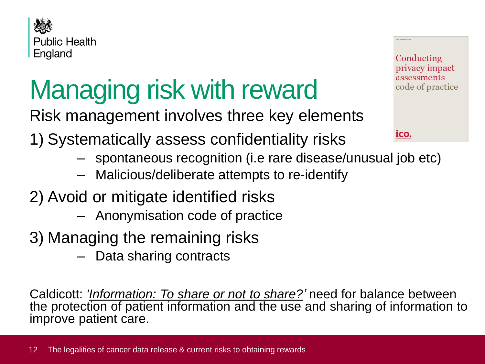

# Managing risk with reward

Risk management involves three key elements

- 1) Systematically assess confidentiality risks
	- spontaneous recognition (i.e rare disease/unusual job etc)
	- Malicious/deliberate attempts to re-identify
- 2) Avoid or mitigate identified risks
	- Anonymisation code of practice
- 3) Managing the remaining risks
	- Data sharing contracts

Caldicott: *['Information: To share or not to share?](http://systems.hscic.gov.uk/infogov/links/cald2rev.pdf)'* need for balance between the protection of patient information and the use and sharing of information to improve patient care.

Conducting privacy impact assessments code of practice

ico.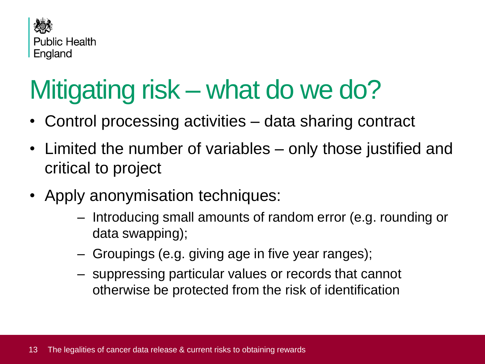

# Mitigating risk – what do we do?

- Control processing activities data sharing contract
- Limited the number of variables only those justified and critical to project
- Apply anonymisation techniques:
	- Introducing small amounts of random error (e.g. rounding or data swapping);
	- Groupings (e.g. giving age in five year ranges);
	- suppressing particular values or records that cannot otherwise be protected from the risk of identification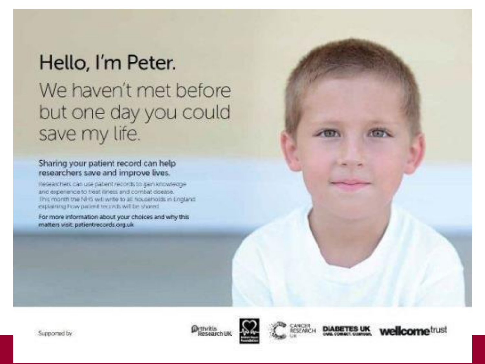### Hello, I'm Peter.

We haven't met before but one day you could save my life.

#### Sharing your patient record can help researchers save and improve lives.

Researchers can use patient records to gain knowledge and experience to treat (liness and combat disease. This month the NHS will write to all households in England explaining Fraw patient technik will be shared.

For more information about your choices and why this matters visit: patientrecords.org.uk

Supported by